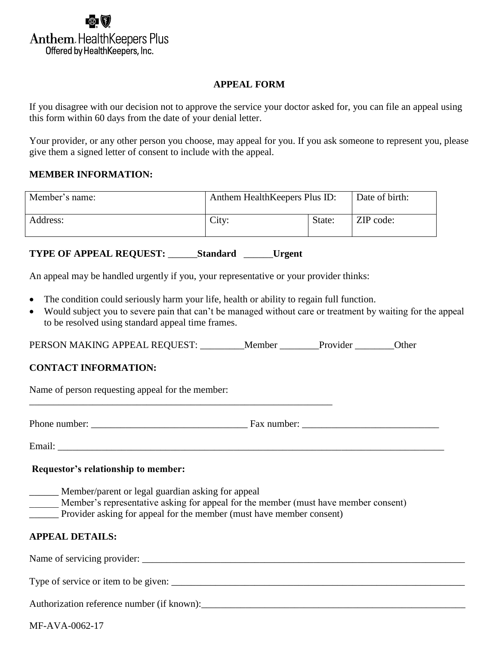

#### **APPEAL FORM**

If you disagree with our decision not to approve the service your doctor asked for, you can file an appeal using this form within 60 days from the date of your denial letter.

Your provider, or any other person you choose, may appeal for you. If you ask someone to represent you, please give them a signed letter of consent to include with the appeal.

### **MEMBER INFORMATION:**

| Member's name: | Anthem Health Keepers Plus ID: |        | Date of birth: |
|----------------|--------------------------------|--------|----------------|
| Address:       | City:                          | State: | ZIP code:      |

**TYPE OF APPEAL REQUEST:** \_\_\_\_\_\_**Standard** \_\_\_\_\_\_**Urgent** 

An appeal may be handled urgently if you, your representative or your provider thinks:

- The condition could seriously harm your life, health or ability to regain full function.
- Would subject you to severe pain that can't be managed without care or treatment by waiting for the appeal to be resolved using standard appeal time frames.

PERSON MAKING APPEAL REQUEST: \_\_\_\_\_\_\_\_Member \_\_\_\_\_\_\_Provider \_\_\_\_\_\_\_Other

# **CONTACT INFORMATION:**

Name of person requesting appeal for the member:

Phone number: \_\_\_\_\_\_\_\_\_\_\_\_\_\_\_\_\_\_\_\_\_\_\_\_\_\_\_\_\_\_\_\_ Fax number: \_\_\_\_\_\_\_\_\_\_\_\_\_\_\_\_\_\_\_\_\_\_\_\_\_\_\_\_

Email: \_\_\_\_\_\_\_\_\_\_\_\_\_\_\_\_\_\_\_\_\_\_\_\_\_\_\_\_\_\_\_\_\_\_\_\_\_\_\_\_\_\_\_\_\_\_\_\_\_\_\_\_\_\_\_\_\_\_\_\_\_\_\_\_\_\_\_\_\_\_\_\_\_\_\_\_\_\_\_

**Requestor's relationship to member:**

- \_\_\_\_\_\_ Member/parent or legal guardian asking for appeal
- Member's representative asking for appeal for the member (must have member consent)
- Provider asking for appeal for the member (must have member consent)

\_\_\_\_\_\_\_\_\_\_\_\_\_\_\_\_\_\_\_\_\_\_\_\_\_\_\_\_\_\_\_\_\_\_\_\_\_\_\_\_\_\_\_\_\_\_\_\_\_\_\_\_\_\_\_\_\_\_\_\_\_\_

# **APPEAL DETAILS:**

Name of servicing provider: \_\_\_\_\_\_\_\_\_\_\_\_\_\_\_\_\_\_\_\_\_\_\_\_\_\_\_\_\_\_\_\_\_\_\_\_\_\_\_\_\_\_\_\_\_\_\_\_\_\_\_\_\_\_\_\_\_\_\_\_\_\_\_\_\_\_

Type of service or item to be given:

Authorization reference number (if known):

MF-AVA-0062-17